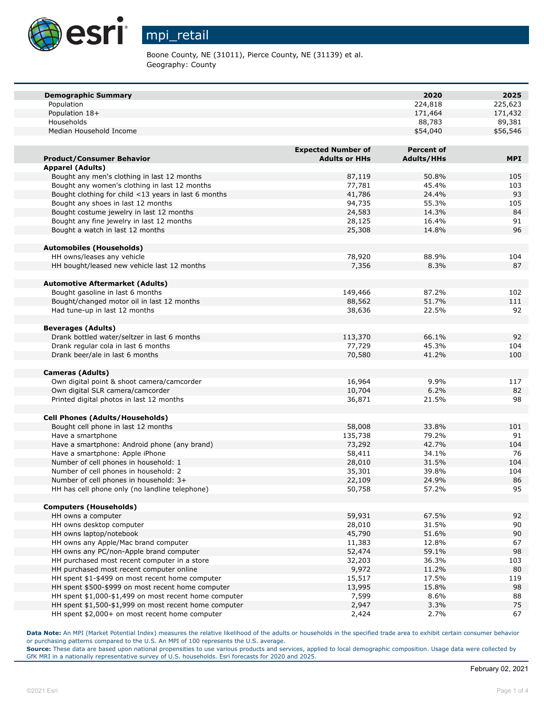

## mpi\_retail

Boone County, NE (31011), Pierce County, NE (31139) et al. Geography: County

| <b>Demographic Summary</b>                            |                           | 2020              | 2025       |
|-------------------------------------------------------|---------------------------|-------------------|------------|
| Population                                            |                           | 224,818           | 225,623    |
| Population 18+                                        |                           | 171,464           | 171,432    |
| Households                                            |                           | 88,783            | 89,381     |
| Median Household Income                               |                           | \$54,040          | \$56,546   |
|                                                       |                           |                   |            |
|                                                       | <b>Expected Number of</b> | <b>Percent of</b> |            |
| <b>Product/Consumer Behavior</b>                      | <b>Adults or HHs</b>      | <b>Adults/HHs</b> | <b>MPI</b> |
| <b>Apparel (Adults)</b>                               |                           |                   |            |
| Bought any men's clothing in last 12 months           | 87,119                    | 50.8%             | 105        |
| Bought any women's clothing in last 12 months         | 77,781                    | 45.4%             | 103        |
| Bought clothing for child <13 years in last 6 months  | 41,786                    | 24.4%             | 93         |
| Bought any shoes in last 12 months                    | 94,735                    | 55.3%             | 105        |
| Bought costume jewelry in last 12 months              | 24,583                    | 14.3%             | 84         |
| Bought any fine jewelry in last 12 months             | 28,125                    | 16.4%             | 91         |
| Bought a watch in last 12 months                      | 25,308                    | 14.8%             | 96         |
|                                                       |                           |                   |            |
| <b>Automobiles (Households)</b>                       |                           |                   |            |
| HH owns/leases any vehicle                            | 78,920                    | 88.9%             | 104        |
| HH bought/leased new vehicle last 12 months           | 7,356                     | 8.3%              | 87         |
|                                                       |                           |                   |            |
| <b>Automotive Aftermarket (Adults)</b>                |                           |                   |            |
| Bought gasoline in last 6 months                      | 149,466                   | 87.2%             | 102        |
| Bought/changed motor oil in last 12 months            | 88,562                    | 51.7%             | 111        |
| Had tune-up in last 12 months                         | 38,636                    | 22.5%             | 92         |
|                                                       |                           |                   |            |
| <b>Beverages (Adults)</b>                             |                           |                   |            |
| Drank bottled water/seltzer in last 6 months          | 113,370                   | 66.1%             | 92         |
| Drank regular cola in last 6 months                   | 77,729                    | 45.3%             | 104        |
| Drank beer/ale in last 6 months                       | 70,580                    | 41.2%             | 100        |
|                                                       |                           |                   |            |
| <b>Cameras (Adults)</b>                               |                           |                   |            |
| Own digital point & shoot camera/camcorder            | 16,964                    | 9.9%              | 117        |
| Own digital SLR camera/camcorder                      | 10,704                    | 6.2%              | 82         |
| Printed digital photos in last 12 months              | 36,871                    | 21.5%             | 98         |
|                                                       |                           |                   |            |
| <b>Cell Phones (Adults/Households)</b>                |                           |                   |            |
| Bought cell phone in last 12 months                   | 58,008                    | 33.8%             | 101        |
| Have a smartphone                                     | 135,738                   | 79.2%             | 91         |
| Have a smartphone: Android phone (any brand)          | 73,292                    | 42.7%             | 104        |
| Have a smartphone: Apple iPhone                       | 58,411                    | 34.1%             | 76         |
| Number of cell phones in household: 1                 | 28,010                    | 31.5%             | 104        |
| Number of cell phones in household: 2                 | 35,301                    | 39.8%             | 104        |
| Number of cell phones in household: 3+                | 22,109                    | 24.9%             | 86         |
| HH has cell phone only (no landline telephone)        | 50,758                    | 57.2%             | 95         |
|                                                       |                           |                   |            |
| <b>Computers (Households)</b>                         |                           |                   |            |
| HH owns a computer                                    | 59,931                    | 67.5%             | 92         |
| HH owns desktop computer                              | 28,010                    | 31.5%             | 90         |
| HH owns laptop/notebook                               | 45,790                    | 51.6%             | 90         |
| HH owns any Apple/Mac brand computer                  | 11,383                    | 12.8%             | 67         |
| HH owns any PC/non-Apple brand computer               | 52,474                    | 59.1%             | 98         |
| HH purchased most recent computer in a store          | 32,203                    | 36.3%             | 103        |
| HH purchased most recent computer online              | 9,972                     | 11.2%             | 80         |
| HH spent \$1-\$499 on most recent home computer       | 15,517                    | 17.5%             | 119        |
| HH spent \$500-\$999 on most recent home computer     | 13,995                    | 15.8%             | 98         |
| HH spent \$1,000-\$1,499 on most recent home computer | 7,599                     | 8.6%              | 88         |
| HH spent \$1,500-\$1,999 on most recent home computer | 2,947                     | 3.3%              | 75         |
| HH spent \$2,000+ on most recent home computer        | 2,424                     | 2.7%              | 67         |
|                                                       |                           |                   |            |

**Data Note:** An MPI (Market Potential Index) measures the relative likelihood of the adults or households in the specified trade area to exhibit certain consumer behavior or purchasing patterns compared to the U.S. An MPI of 100 represents the U.S. average.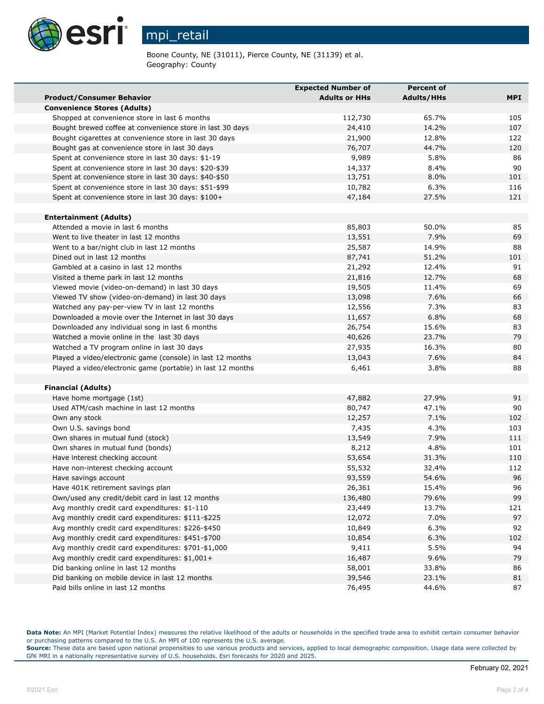

mpi\_retail

Boone County, NE (31011), Pierce County, NE (31139) et al. Geography: County

|                                                             | <b>Expected Number of</b> | <b>Percent of</b> |            |
|-------------------------------------------------------------|---------------------------|-------------------|------------|
| <b>Product/Consumer Behavior</b>                            | <b>Adults or HHs</b>      | <b>Adults/HHs</b> | <b>MPI</b> |
| <b>Convenience Stores (Adults)</b>                          |                           |                   |            |
| Shopped at convenience store in last 6 months               | 112,730                   | 65.7%             | 105        |
| Bought brewed coffee at convenience store in last 30 days   | 24,410                    | 14.2%             | 107        |
| Bought cigarettes at convenience store in last 30 days      | 21,900                    | 12.8%             | 122        |
| Bought gas at convenience store in last 30 days             | 76,707                    | 44.7%             | 120        |
| Spent at convenience store in last 30 days: \$1-19          | 9,989                     | 5.8%              | 86         |
| Spent at convenience store in last 30 days: \$20-\$39       | 14,337                    | 8.4%              | 90         |
| Spent at convenience store in last 30 days: \$40-\$50       | 13,751                    | 8.0%              | 101        |
| Spent at convenience store in last 30 days: \$51-\$99       | 10,782                    | 6.3%              | 116        |
| Spent at convenience store in last 30 days: \$100+          | 47,184                    | 27.5%             | 121        |
| <b>Entertainment (Adults)</b>                               |                           |                   |            |
| Attended a movie in last 6 months                           | 85,803                    | 50.0%             | 85         |
| Went to live theater in last 12 months                      | 13,551                    | 7.9%              | 69         |
| Went to a bar/night club in last 12 months                  | 25,587                    | 14.9%             | 88         |
| Dined out in last 12 months                                 | 87,741                    | 51.2%             | 101        |
| Gambled at a casino in last 12 months                       | 21,292                    | 12.4%             | 91         |
| Visited a theme park in last 12 months                      | 21,816                    | 12.7%             | 68         |
| Viewed movie (video-on-demand) in last 30 days              | 19,505                    | 11.4%             | 69         |
| Viewed TV show (video-on-demand) in last 30 days            | 13,098                    | 7.6%              | 66         |
| Watched any pay-per-view TV in last 12 months               | 12,556                    | 7.3%              | 83         |
| Downloaded a movie over the Internet in last 30 days        | 11,657                    | 6.8%              | 68         |
| Downloaded any individual song in last 6 months             | 26,754                    | 15.6%             | 83         |
| Watched a movie online in the last 30 days                  | 40,626                    | 23.7%             | 79         |
| Watched a TV program online in last 30 days                 | 27,935                    | 16.3%             | 80         |
| Played a video/electronic game (console) in last 12 months  | 13,043                    | 7.6%              | 84         |
| Played a video/electronic game (portable) in last 12 months | 6,461                     | 3.8%              | 88         |
|                                                             |                           |                   |            |
| <b>Financial (Adults)</b>                                   |                           |                   |            |
| Have home mortgage (1st)                                    | 47,882                    | 27.9%             | 91         |
| Used ATM/cash machine in last 12 months                     | 80,747                    | 47.1%             | 90         |
| Own any stock                                               | 12,257                    | 7.1%              | 102        |
| Own U.S. savings bond                                       | 7,435                     | 4.3%              | 103        |
| Own shares in mutual fund (stock)                           | 13,549                    | 7.9%              | 111        |
| Own shares in mutual fund (bonds)                           | 8,212                     | 4.8%              | 101        |
| Have interest checking account                              | 53,654                    | 31.3%             | 110        |
| Have non-interest checking account                          | 55,532                    | 32.4%             | 112        |
| Have savings account                                        | 93,559                    | 54.6%             | 96         |
| Have 401K retirement savings plan                           | 26,361                    | 15.4%             | 96         |
| Own/used any credit/debit card in last 12 months            | 136,480                   | 79.6%             | 99         |
| Avg monthly credit card expenditures: \$1-110               | 23,449                    | 13.7%             | 121        |
| Avg monthly credit card expenditures: \$111-\$225           | 12,072                    | 7.0%              | 97         |
| Avg monthly credit card expenditures: \$226-\$450           | 10,849                    | 6.3%              | 92         |
| Avg monthly credit card expenditures: \$451-\$700           | 10,854                    | 6.3%              | 102        |
| Avg monthly credit card expenditures: \$701-\$1,000         | 9,411                     | 5.5%              | 94         |
| Avg monthly credit card expenditures: \$1,001+              | 16,487                    | 9.6%              | 79         |
| Did banking online in last 12 months                        | 58,001                    | 33.8%             | 86         |
| Did banking on mobile device in last 12 months              | 39,546                    | 23.1%             | 81         |
| Paid bills online in last 12 months                         | 76,495                    | 44.6%             | 87         |

**Data Note:** An MPI (Market Potential Index) measures the relative likelihood of the adults or households in the specified trade area to exhibit certain consumer behavior or purchasing patterns compared to the U.S. An MPI of 100 represents the U.S. average.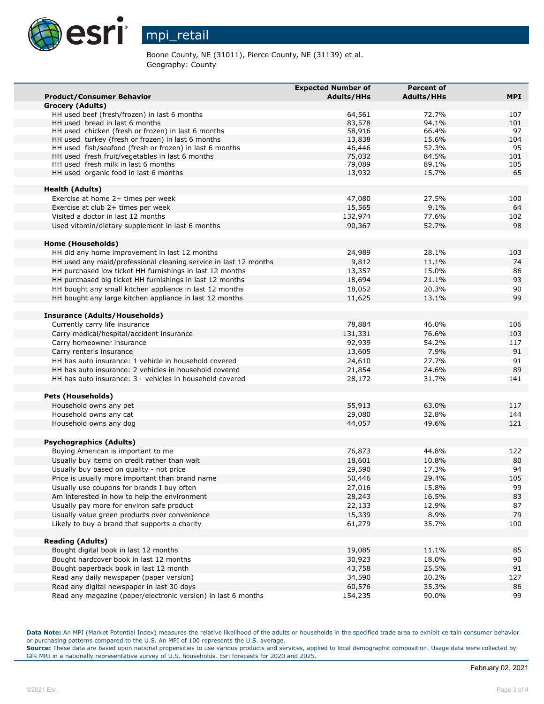

Boone County, NE (31011), Pierce County, NE (31139) et al. Geography: County

|                                                                              | <b>Expected Number of</b> | <b>Percent of</b> |            |
|------------------------------------------------------------------------------|---------------------------|-------------------|------------|
| <b>Product/Consumer Behavior</b>                                             | <b>Adults/HHs</b>         | <b>Adults/HHs</b> | <b>MPI</b> |
| <b>Grocery (Adults)</b>                                                      |                           |                   |            |
| HH used beef (fresh/frozen) in last 6 months                                 | 64,561                    | 72.7%             | 107        |
| HH used bread in last 6 months                                               | 83,578                    | 94.1%             | 101        |
| HH used chicken (fresh or frozen) in last 6 months                           | 58,916                    | 66.4%             | 97         |
| HH used turkey (fresh or frozen) in last 6 months                            | 13,838                    | 15.6%             | 104        |
| HH used fish/seafood (fresh or frozen) in last 6 months                      | 46,446                    | 52.3%             | 95         |
| HH used fresh fruit/vegetables in last 6 months                              | 75,032                    | 84.5%             | 101        |
| HH used fresh milk in last 6 months<br>HH used organic food in last 6 months | 79,089                    | 89.1%             | 105<br>65  |
|                                                                              | 13,932                    | 15.7%             |            |
| <b>Health (Adults)</b>                                                       |                           |                   |            |
| Exercise at home 2+ times per week                                           | 47,080                    | 27.5%             | 100        |
| Exercise at club 2+ times per week                                           | 15,565                    | 9.1%              | 64         |
| Visited a doctor in last 12 months                                           | 132,974                   | 77.6%             | 102        |
| Used vitamin/dietary supplement in last 6 months                             | 90,367                    | 52.7%             | 98         |
|                                                                              |                           |                   |            |
| Home (Households)                                                            |                           |                   |            |
| HH did any home improvement in last 12 months                                | 24,989                    | 28.1%             | 103        |
| HH used any maid/professional cleaning service in last 12 months             | 9,812                     | 11.1%             | 74         |
| HH purchased low ticket HH furnishings in last 12 months                     | 13,357                    | 15.0%             | 86         |
| HH purchased big ticket HH furnishings in last 12 months                     | 18,694                    | 21.1%             | 93         |
| HH bought any small kitchen appliance in last 12 months                      | 18,052                    | 20.3%             | 90         |
| HH bought any large kitchen appliance in last 12 months                      | 11,625                    | 13.1%             | 99         |
|                                                                              |                           |                   |            |
| <b>Insurance (Adults/Households)</b>                                         |                           |                   |            |
| Currently carry life insurance                                               | 78,884                    | 46.0%             | 106        |
| Carry medical/hospital/accident insurance                                    | 131,331                   | 76.6%             | 103        |
| Carry homeowner insurance                                                    | 92,939                    | 54.2%             | 117        |
| Carry renter's insurance                                                     | 13,605                    | 7.9%              | 91         |
| HH has auto insurance: 1 vehicle in household covered                        | 24,610                    | 27.7%             | 91         |
| HH has auto insurance: 2 vehicles in household covered                       | 21,854                    | 24.6%             | 89         |
| HH has auto insurance: 3+ vehicles in household covered                      | 28,172                    | 31.7%             | 141        |
|                                                                              |                           |                   |            |
| <b>Pets (Households)</b>                                                     |                           |                   |            |
| Household owns any pet                                                       | 55,913                    | 63.0%             | 117        |
| Household owns any cat                                                       | 29,080                    | 32.8%             | 144        |
| Household owns any dog                                                       | 44,057                    | 49.6%             | 121        |
| <b>Psychographics (Adults)</b>                                               |                           |                   |            |
| Buying American is important to me                                           | 76,873                    | 44.8%             | 122        |
| Usually buy items on credit rather than wait                                 | 18,601                    | 10.8%             | 80         |
| Usually buy based on quality - not price                                     | 29,590                    | 17.3%             | 94         |
| Price is usually more important than brand name                              | 50,446                    | 29.4%             | 105        |
| Usually use coupons for brands I buy often                                   | 27,016                    | 15.8%             | 99         |
| Am interested in how to help the environment                                 | 28,243                    | 16.5%             | 83         |
| Usually pay more for environ safe product                                    | 22,133                    | 12.9%             | 87         |
| Usually value green products over convenience                                | 15,339                    | 8.9%              | 79         |
| Likely to buy a brand that supports a charity                                | 61,279                    | 35.7%             | 100        |
|                                                                              |                           |                   |            |
| <b>Reading (Adults)</b>                                                      |                           |                   |            |
| Bought digital book in last 12 months                                        | 19,085                    | 11.1%             | 85         |
| Bought hardcover book in last 12 months                                      | 30,923                    | 18.0%             | 90         |
| Bought paperback book in last 12 month                                       | 43,758                    | 25.5%             | 91         |
| Read any daily newspaper (paper version)                                     | 34,590                    | 20.2%             | 127        |
| Read any digital newspaper in last 30 days                                   | 60,576                    | 35.3%             | 86         |
| Read any magazine (paper/electronic version) in last 6 months                | 154,235                   | 90.0%             | 99         |

**Data Note:** An MPI (Market Potential Index) measures the relative likelihood of the adults or households in the specified trade area to exhibit certain consumer behavior or purchasing patterns compared to the U.S. An MPI of 100 represents the U.S. average.